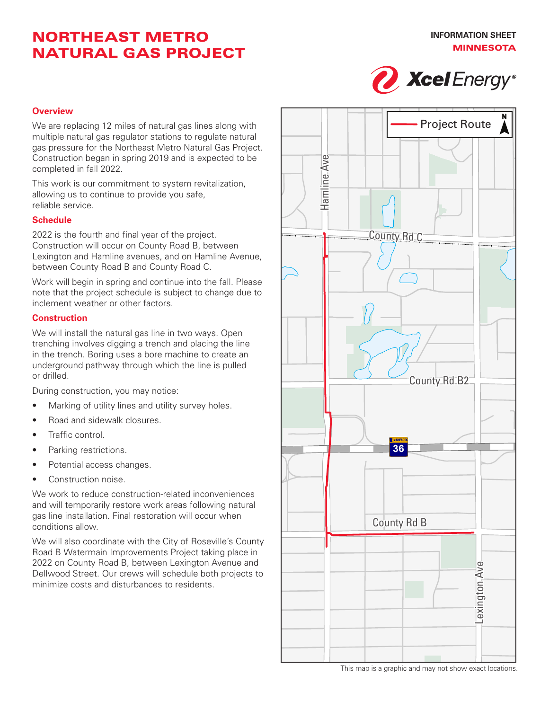# NORTHEAST METRO NATURAL GAS PROJECT



### **Overview**

We are replacing 12 miles of natural gas lines along with multiple natural gas regulator stations to regulate natural gas pressure for the Northeast Metro Natural Gas Project. Construction began in spring 2019 and is expected to be completed in fall 2022.

This work is our commitment to system revitalization, allowing us to continue to provide you safe, reliable service.

### **Schedule**

2022 is the fourth and final year of the project. Construction will occur on County Road B, between Lexington and Hamline avenues, and on Hamline Avenue, between County Road B and County Road C.

Work will begin in spring and continue into the fall. Please note that the project schedule is subject to change due to inclement weather or other factors.

#### **Construction**

We will install the natural gas line in two ways. Open trenching involves digging a trench and placing the line in the trench. Boring uses a bore machine to create an underground pathway through which the line is pulled or drilled.

During construction, you may notice:

- Marking of utility lines and utility survey holes.
- Road and sidewalk closures.
- Traffic control.
- Parking restrictions.
- Potential access changes.
- Construction noise.

We work to reduce construction-related inconveniences and will temporarily restore work areas following natural gas line installation. Final restoration will occur when conditions allow.

We will also coordinate with the City of Roseville's County Road B Watermain Improvements Project taking place in 2022 on County Road B, between Lexington Avenue and Dellwood Street. Our crews will schedule both projects to minimize costs and disturbances to residents.



This map is a graphic and may not show exact locations.